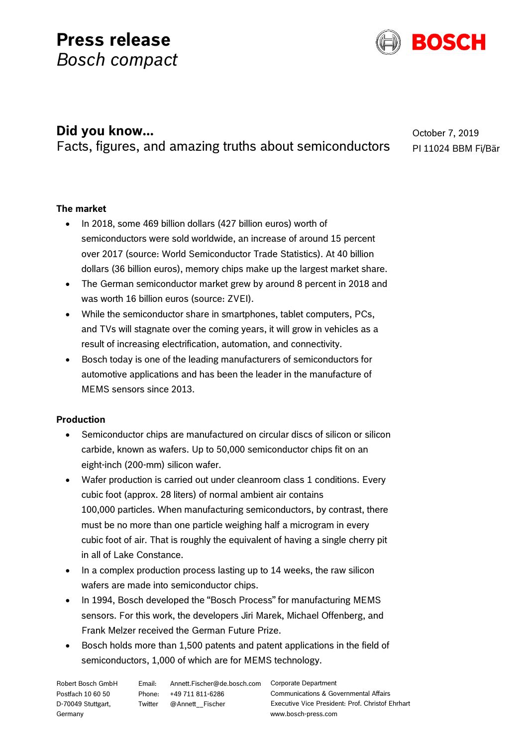# **Press release** *Bosch compact*



# **Did you know...**

Facts, figures, and amazing truths about semiconductors

October 7, 2019 PI 11024 BBM Fi/Bär

## **The market**

- In 2018, some 469 billion dollars (427 billion euros) worth of semiconductors were sold worldwide, an increase of around 15 percent over 2017 (source: World Semiconductor Trade Statistics). At 40 billion dollars (36 billion euros), memory chips make up the largest market share.
- The German semiconductor market grew by around 8 percent in 2018 and was worth 16 billion euros (source: ZVEI).
- While the semiconductor share in smartphones, tablet computers, PCs, and TVs will stagnate over the coming years, it will grow in vehicles as a result of increasing electrification, automation, and connectivity.
- Bosch today is one of the leading manufacturers of semiconductors for automotive applications and has been the leader in the manufacture of MEMS sensors since 2013.

### **Production**

- Semiconductor chips are manufactured on circular discs of silicon or silicon carbide, known as wafers. Up to 50,000 semiconductor chips fit on an eight-inch (200-mm) silicon wafer.
- Wafer production is carried out under cleanroom class 1 conditions. Every cubic foot (approx. 28 liters) of normal ambient air contains 100,000 particles. When manufacturing semiconductors, by contrast, there must be no more than one particle weighing half a microgram in every cubic foot of air. That is roughly the equivalent of having a single cherry pit in all of Lake Constance.
- In a complex production process lasting up to 14 weeks, the raw silicon wafers are made into semiconductor chips.
- In 1994, Bosch developed the "Bosch Process" for manufacturing MEMS sensors. For this work, the developers Jiri Marek, Michael Offenberg, and Frank Melzer received the German Future Prize.
- Bosch holds more than 1,500 patents and patent applications in the field of semiconductors, 1,000 of which are for MEMS technology.

Robert Bosch GmbH Postfach 10 60 50 D-70049 Stuttgart, Germany

Phone: +49 711 811-6286 Twitter @Annett\_\_Fischer

Email: Annett.Fischer@de.bosch.com Corporate Department Communications & Governmental Affairs Executive Vice President: Prof. Christof Ehrhart www.bosch-press.com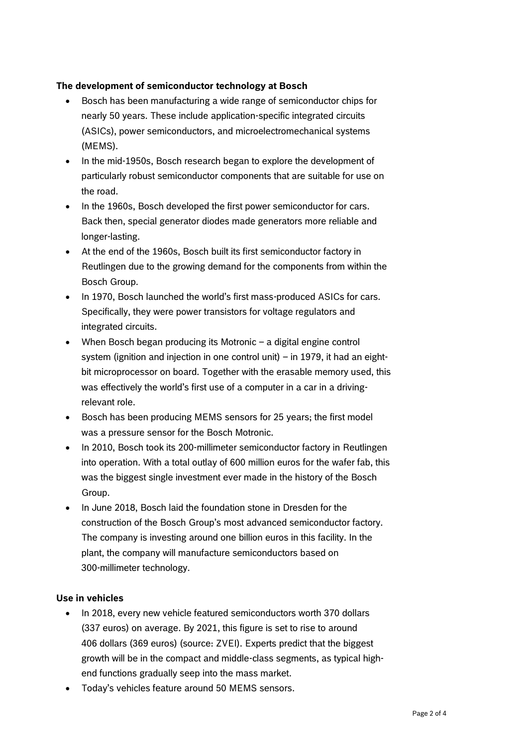#### **The development of semiconductor technology at Bosch**

- Bosch has been manufacturing a wide range of semiconductor chips for nearly 50 years. These include application-specific integrated circuits (ASICs), power semiconductors, and microelectromechanical systems (MEMS).
- In the mid-1950s, Bosch research began to explore the development of particularly robust semiconductor components that are suitable for use on the road.
- In the 1960s, Bosch developed the first power semiconductor for cars. Back then, special generator diodes made generators more reliable and longer-lasting.
- At the end of the 1960s, Bosch built its first semiconductor factory in Reutlingen due to the growing demand for the components from within the Bosch Group.
- In 1970, Bosch launched the world's first mass-produced ASICs for cars. Specifically, they were power transistors for voltage regulators and integrated circuits.
- When Bosch began producing its Motronic a digital engine control system (ignition and injection in one control unit) – in 1979, it had an eightbit microprocessor on board. Together with the erasable memory used, this was effectively the world's first use of a computer in a car in a drivingrelevant role.
- Bosch has been producing MEMS sensors for 25 years; the first model was a pressure sensor for the Bosch Motronic.
- In 2010, Bosch took its 200-millimeter semiconductor factory in Reutlingen into operation. With a total outlay of 600 million euros for the wafer fab, this was the biggest single investment ever made in the history of the Bosch Group.
- In June 2018, Bosch laid the foundation stone in Dresden for the construction of the Bosch Group's most advanced semiconductor factory. The company is investing around one billion euros in this facility. In the plant, the company will manufacture semiconductors based on 300-millimeter technology.

#### **Use in vehicles**

- In 2018, every new vehicle featured semiconductors worth 370 dollars (337 euros) on average. By 2021, this figure is set to rise to around 406 dollars (369 euros) (source: ZVEI). Experts predict that the biggest growth will be in the compact and middle-class segments, as typical highend functions gradually seep into the mass market.
- Today's vehicles feature around 50 MEMS sensors.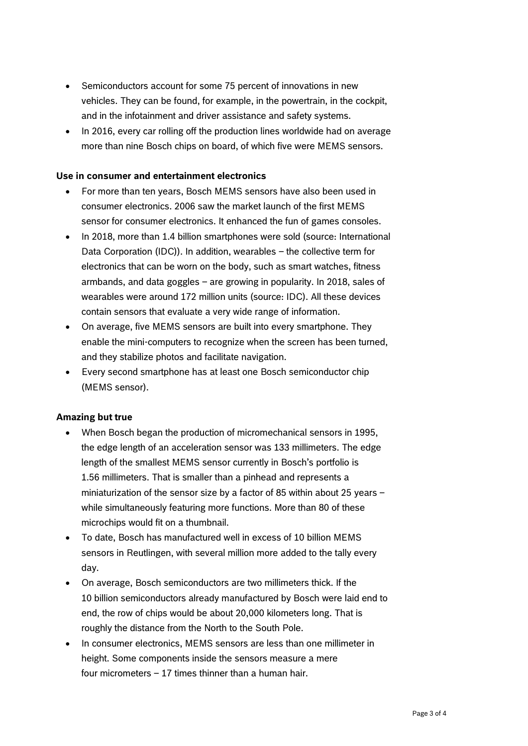- Semiconductors account for some 75 percent of innovations in new vehicles. They can be found, for example, in the powertrain, in the cockpit, and in the infotainment and driver assistance and safety systems.
- In 2016, every car rolling off the production lines worldwide had on average more than nine Bosch chips on board, of which five were MEMS sensors.

#### **Use in consumer and entertainment electronics**

- For more than ten years, Bosch MEMS sensors have also been used in consumer electronics. 2006 saw the market launch of the first MEMS sensor for consumer electronics. It enhanced the fun of games consoles.
- In 2018, more than 1.4 billion smartphones were sold (source: International Data Corporation (IDC)). In addition, wearables – the collective term for electronics that can be worn on the body, such as smart watches, fitness armbands, and data goggles – are growing in popularity. In 2018, sales of wearables were around 172 million units (source: IDC). All these devices contain sensors that evaluate a very wide range of information.
- On average, five MEMS sensors are built into every smartphone. They enable the mini-computers to recognize when the screen has been turned, and they stabilize photos and facilitate navigation.
- Every second smartphone has at least one Bosch semiconductor chip (MEMS sensor).

#### **Amazing but true**

- When Bosch began the production of micromechanical sensors in 1995, the edge length of an acceleration sensor was 133 millimeters. The edge length of the smallest MEMS sensor currently in Bosch's portfolio is 1.56 millimeters. That is smaller than a pinhead and represents a miniaturization of the sensor size by a factor of 85 within about 25 years – while simultaneously featuring more functions. More than 80 of these microchips would fit on a thumbnail.
- To date, Bosch has manufactured well in excess of 10 billion MEMS sensors in Reutlingen, with several million more added to the tally every day.
- On average, Bosch semiconductors are two millimeters thick. If the 10 billion semiconductors already manufactured by Bosch were laid end to end, the row of chips would be about 20,000 kilometers long. That is roughly the distance from the North to the South Pole.
- In consumer electronics, MEMS sensors are less than one millimeter in height. Some components inside the sensors measure a mere four micrometers – 17 times thinner than a human hair.